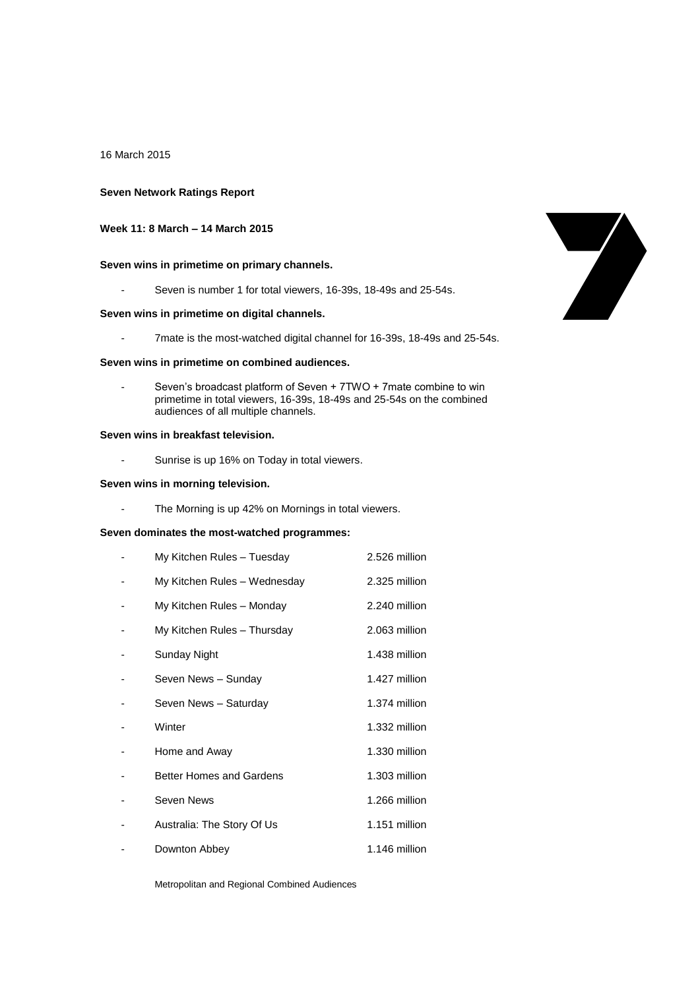16 March 2015

## **Seven Network Ratings Report**

# **Week 11: 8 March – 14 March 2015**

# **Seven wins in primetime on primary channels.**

- Seven is number 1 for total viewers, 16-39s, 18-49s and 25-54s.

# **Seven wins in primetime on digital channels.**

- 7mate is the most-watched digital channel for 16-39s, 18-49s and 25-54s.

#### **Seven wins in primetime on combined audiences.**

Seven's broadcast platform of Seven + 7TWO + 7mate combine to win primetime in total viewers, 16-39s, 18-49s and 25-54s on the combined audiences of all multiple channels.

### **Seven wins in breakfast television.**

- Sunrise is up 16% on Today in total viewers.

### **Seven wins in morning television.**

- The Morning is up 42% on Mornings in total viewers.

# **Seven dominates the most-watched programmes:**

| My Kitchen Rules - Tuesday      | 2.526 million |
|---------------------------------|---------------|
| My Kitchen Rules - Wednesday    | 2.325 million |
| My Kitchen Rules - Monday       | 2.240 million |
| My Kitchen Rules - Thursday     | 2.063 million |
| Sunday Night                    | 1.438 million |
| Seven News - Sunday             | 1.427 million |
| Seven News - Saturday           | 1.374 million |
| Winter                          | 1.332 million |
| Home and Away                   | 1.330 million |
| <b>Better Homes and Gardens</b> | 1.303 million |
| Seven News                      | 1.266 million |
| Australia: The Story Of Us      | 1.151 million |
| Downton Abbey                   | 1.146 million |

Metropolitan and Regional Combined Audiences

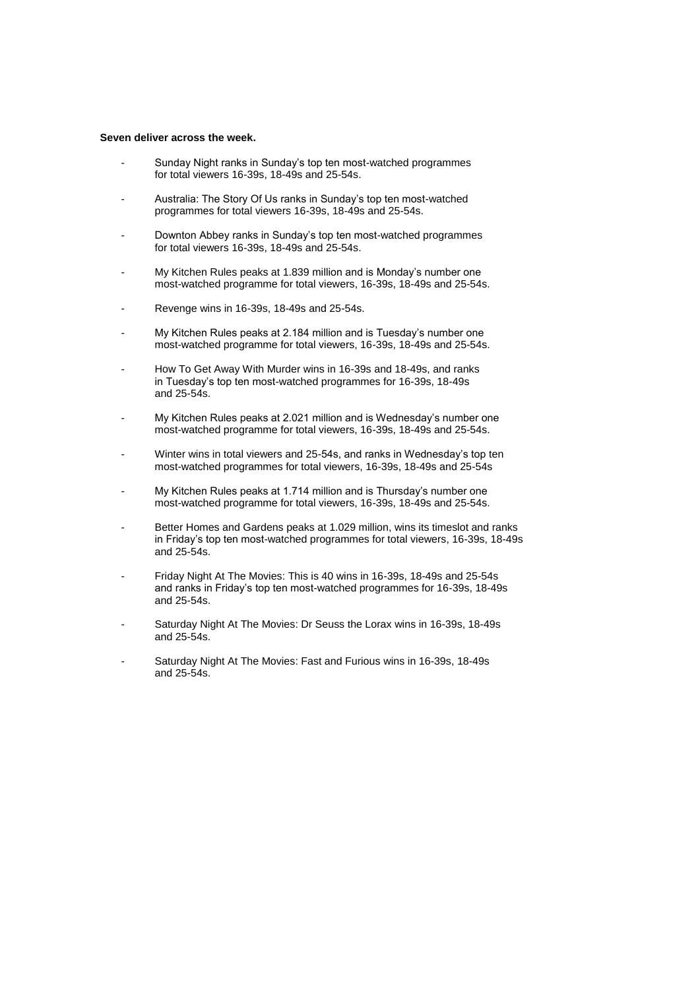#### **Seven deliver across the week.**

- Sunday Night ranks in Sunday's top ten most-watched programmes for total viewers 16-39s, 18-49s and 25-54s.
- Australia: The Story Of Us ranks in Sunday's top ten most-watched programmes for total viewers 16-39s, 18-49s and 25-54s.
- Downton Abbey ranks in Sunday's top ten most-watched programmes for total viewers 16-39s, 18-49s and 25-54s.
- My Kitchen Rules peaks at 1.839 million and is Monday's number one most-watched programme for total viewers, 16-39s, 18-49s and 25-54s.
- Revenge wins in 16-39s, 18-49s and 25-54s.
- My Kitchen Rules peaks at 2.184 million and is Tuesday's number one most-watched programme for total viewers, 16-39s, 18-49s and 25-54s.
- How To Get Away With Murder wins in 16-39s and 18-49s, and ranks in Tuesday's top ten most-watched programmes for 16-39s, 18-49s and 25-54s.
- My Kitchen Rules peaks at 2.021 million and is Wednesday's number one most-watched programme for total viewers, 16-39s, 18-49s and 25-54s.
- Winter wins in total viewers and 25-54s, and ranks in Wednesday's top ten most-watched programmes for total viewers, 16-39s, 18-49s and 25-54s
- My Kitchen Rules peaks at 1.714 million and is Thursday's number one most-watched programme for total viewers, 16-39s, 18-49s and 25-54s.
- Better Homes and Gardens peaks at 1.029 million, wins its timeslot and ranks in Friday's top ten most-watched programmes for total viewers, 16-39s, 18-49s and 25-54s.
- Friday Night At The Movies: This is 40 wins in 16-39s, 18-49s and 25-54s and ranks in Friday's top ten most-watched programmes for 16-39s, 18-49s and 25-54s.
- Saturday Night At The Movies: Dr Seuss the Lorax wins in 16-39s, 18-49s and 25-54s.
- Saturday Night At The Movies: Fast and Furious wins in 16-39s, 18-49s and 25-54s.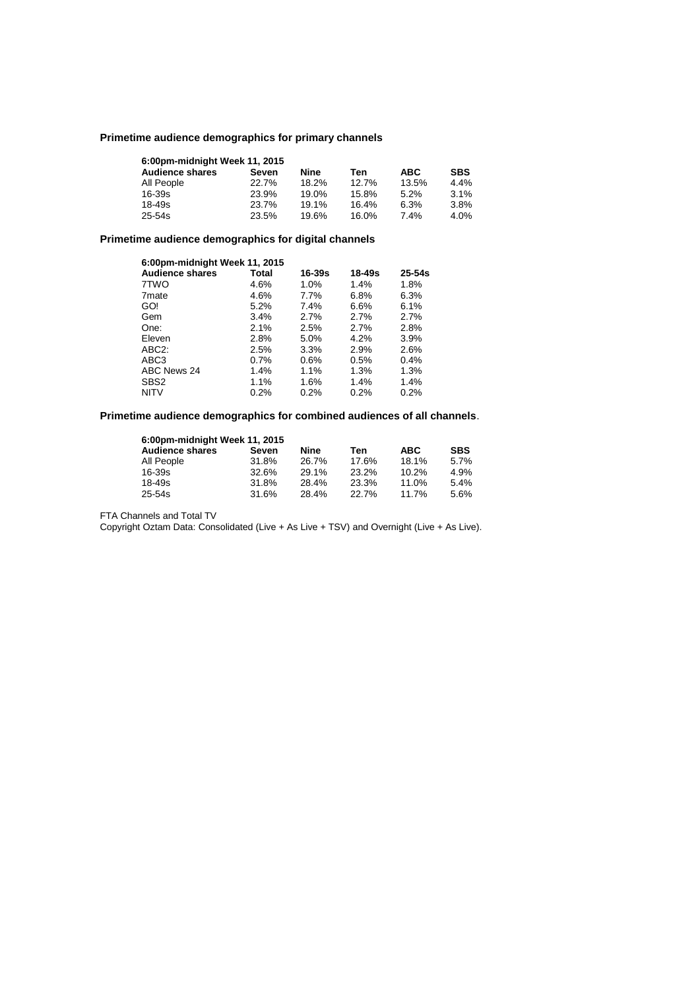# **Primetime audience demographics for primary channels**

| 6:00pm-midnight Week 11, 2015 |       |       |       |            |            |  |  |
|-------------------------------|-------|-------|-------|------------|------------|--|--|
| <b>Audience shares</b>        | Seven | Nine  | Ten   | <b>ABC</b> | <b>SBS</b> |  |  |
| All People                    | 22.7% | 18.2% | 12.7% | 13.5%      | 4.4%       |  |  |
| $16 - 39s$                    | 23.9% | 19.0% | 15.8% | 5.2%       | 3.1%       |  |  |
| $18 - 49s$                    | 23.7% | 19.1% | 16.4% | 6.3%       | 3.8%       |  |  |
| 25-54s                        | 23.5% | 19.6% | 16.0% | 7.4%       | 4.0%       |  |  |

# **Primetime audience demographics for digital channels**

| 6:00pm-midnight Week 11, 2015 |       |            |            |            |  |  |
|-------------------------------|-------|------------|------------|------------|--|--|
| <b>Audience shares</b>        | Total | $16 - 39s$ | $18 - 49s$ | $25 - 54s$ |  |  |
| 7TWO                          | 4.6%  | 1.0%       | 1.4%       | 1.8%       |  |  |
| 7 <sub>mate</sub>             | 4.6%  | 7.7%       | 6.8%       | 6.3%       |  |  |
| GO!                           | 5.2%  | $7.4\%$    | 6.6%       | 6.1%       |  |  |
| Gem                           | 3.4%  | 2.7%       | 2.7%       | 2.7%       |  |  |
| One:                          | 2.1%  | 2.5%       | 2.7%       | 2.8%       |  |  |
| Eleven                        | 2.8%  | 5.0%       | 4.2%       | 3.9%       |  |  |
| ABC <sub>2</sub> :            | 2.5%  | 3.3%       | 2.9%       | 2.6%       |  |  |
| ABC3                          | 0.7%  | 0.6%       | 0.5%       | 0.4%       |  |  |
| ABC News 24                   | 1.4%  | 1.1%       | 1.3%       | 1.3%       |  |  |
| SBS <sub>2</sub>              | 1.1%  | 1.6%       | 1.4%       | 1.4%       |  |  |
| <b>NITV</b>                   | 0.2%  | 0.2%       | 0.2%       | 0.2%       |  |  |

# **Primetime audience demographics for combined audiences of all channels**.

| 6:00pm-midnight Week 11, 2015 |       |       |       |            |            |  |  |
|-------------------------------|-------|-------|-------|------------|------------|--|--|
| <b>Audience shares</b>        | Seven | Nine  | Ten   | <b>ABC</b> | <b>SBS</b> |  |  |
| All People                    | 31.8% | 26.7% | 17.6% | 18.1%      | 5.7%       |  |  |
| 16-39s                        | 32.6% | 29.1% | 23.2% | 10.2%      | 4.9%       |  |  |
| 18-49s                        | 31.8% | 28.4% | 23.3% | 11.0%      | 5.4%       |  |  |
| 25-54s                        | 31.6% | 28.4% | 22.7% | 11.7%      | 5.6%       |  |  |

FTA Channels and Total TV

Copyright Oztam Data: Consolidated (Live + As Live + TSV) and Overnight (Live + As Live).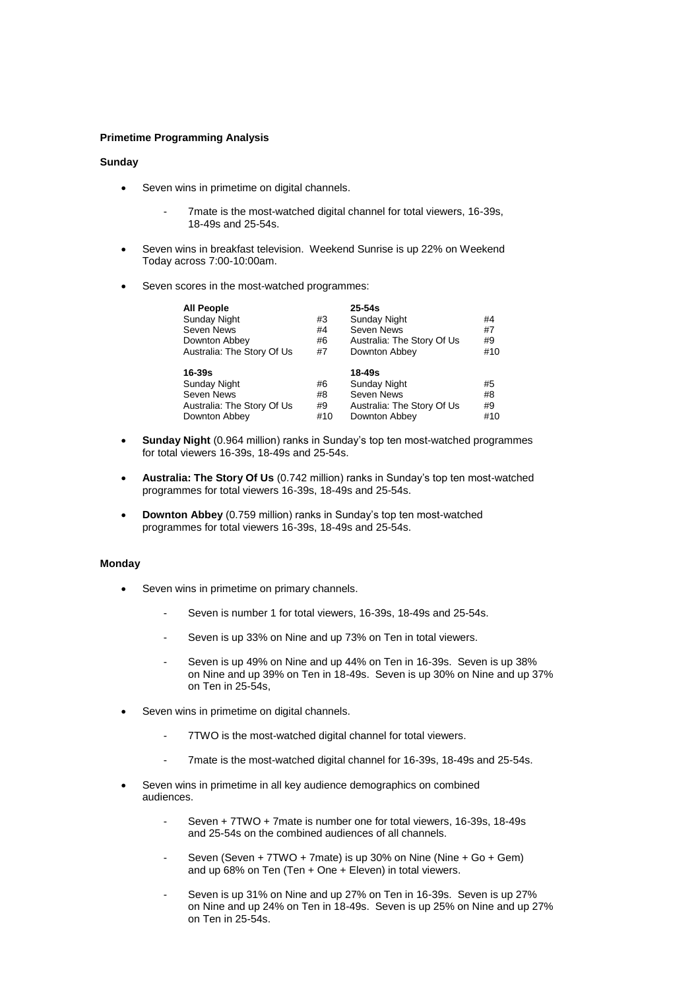## **Primetime Programming Analysis**

### **Sunday**

- Seven wins in primetime on digital channels.
	- 7mate is the most-watched digital channel for total viewers, 16-39s, 18-49s and 25-54s.
- Seven wins in breakfast television. Weekend Sunrise is up 22% on Weekend Today across 7:00-10:00am.
- Seven scores in the most-watched programmes:

| <b>All People</b>          |     | $25 - 54s$                 |     |
|----------------------------|-----|----------------------------|-----|
| Sunday Night               | #3  | <b>Sunday Night</b>        | #4  |
| Seven News                 | #4  | Seven News                 | #7  |
| Downton Abbey              | #6  | Australia: The Story Of Us | #9  |
| Australia: The Story Of Us | #7  | Downton Abbey              | #10 |
| 16-39s                     |     | 18-49s                     |     |
| Sunday Night               | #6  | <b>Sunday Night</b>        | #5  |
| Seven News                 | #8  | Seven News                 | #8  |
| Australia: The Story Of Us | #9  | Australia: The Story Of Us | #9  |
| Downton Abbey              | #10 | Downton Abbey              | #10 |

- **Sunday Night** (0.964 million) ranks in Sunday's top ten most-watched programmes for total viewers 16-39s, 18-49s and 25-54s.
- **Australia: The Story Of Us** (0.742 million) ranks in Sunday's top ten most-watched programmes for total viewers 16-39s, 18-49s and 25-54s.
- **Downton Abbey** (0.759 million) ranks in Sunday's top ten most-watched programmes for total viewers 16-39s, 18-49s and 25-54s.

### **Monday**

- Seven wins in primetime on primary channels.
	- Seven is number 1 for total viewers, 16-39s, 18-49s and 25-54s.
	- Seven is up 33% on Nine and up 73% on Ten in total viewers.
	- Seven is up 49% on Nine and up 44% on Ten in 16-39s. Seven is up 38% on Nine and up 39% on Ten in 18-49s. Seven is up 30% on Nine and up 37% on Ten in 25-54s,
- Seven wins in primetime on digital channels.
	- 7TWO is the most-watched digital channel for total viewers.
	- 7mate is the most-watched digital channel for 16-39s, 18-49s and 25-54s.
- Seven wins in primetime in all key audience demographics on combined audiences.
	- Seven + 7TWO + 7mate is number one for total viewers, 16-39s, 18-49s and 25-54s on the combined audiences of all channels.
	- Seven (Seven + 7TWO + 7mate) is up 30% on Nine (Nine + Go + Gem) and up 68% on Ten (Ten + One + Eleven) in total viewers.
	- Seven is up 31% on Nine and up 27% on Ten in 16-39s. Seven is up 27% on Nine and up 24% on Ten in 18-49s. Seven is up 25% on Nine and up 27% on Ten in 25-54s.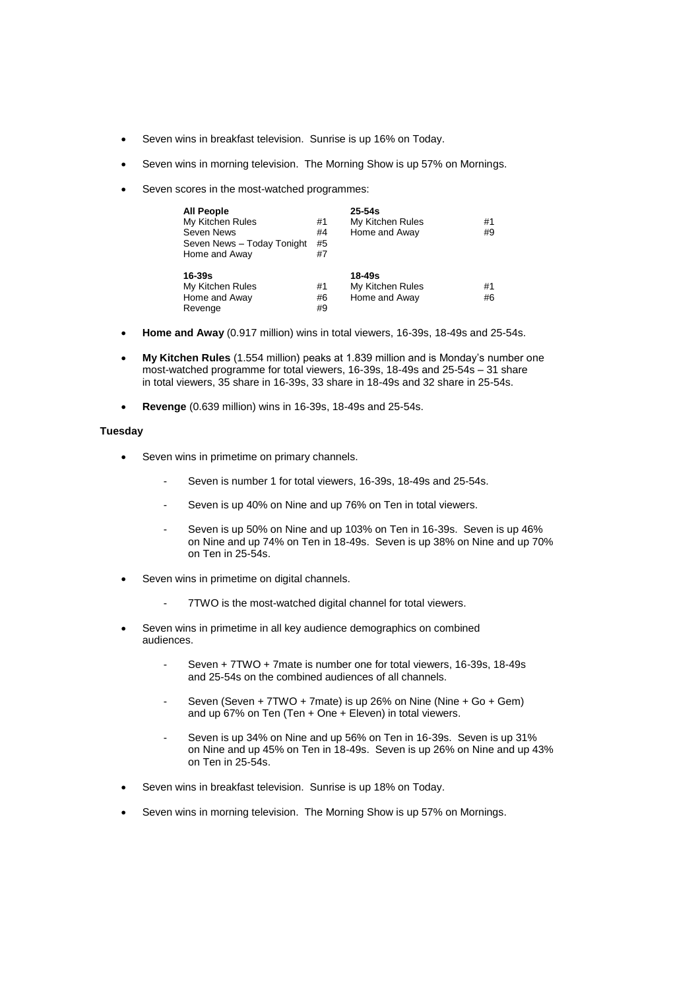- Seven wins in breakfast television. Sunrise is up 16% on Today.
- Seven wins in morning television. The Morning Show is up 57% on Mornings.
- Seven scores in the most-watched programmes:

| <b>All People</b><br>My Kitchen Rules<br>Seven News<br>Seven News - Today Tonight<br>Home and Away | #1<br>#4<br>#5<br>#7 | $25 - 54s$<br>My Kitchen Rules<br>Home and Away | #1<br>#9 |
|----------------------------------------------------------------------------------------------------|----------------------|-------------------------------------------------|----------|
| $16 - 39s$<br>My Kitchen Rules<br>Home and Away<br>Revenge                                         | #1<br>#6<br>#9       | 18-49s<br>My Kitchen Rules<br>Home and Away     | #1<br>#6 |

- **Home and Away** (0.917 million) wins in total viewers, 16-39s, 18-49s and 25-54s.
- **My Kitchen Rules** (1.554 million) peaks at 1.839 million and is Monday's number one most-watched programme for total viewers, 16-39s, 18-49s and 25-54s – 31 share in total viewers, 35 share in 16-39s, 33 share in 18-49s and 32 share in 25-54s.
- **Revenge** (0.639 million) wins in 16-39s, 18-49s and 25-54s.

# **Tuesday**

- Seven wins in primetime on primary channels.
	- Seven is number 1 for total viewers, 16-39s, 18-49s and 25-54s.
	- Seven is up 40% on Nine and up 76% on Ten in total viewers.
	- Seven is up 50% on Nine and up 103% on Ten in 16-39s. Seven is up 46% on Nine and up 74% on Ten in 18-49s. Seven is up 38% on Nine and up 70% on Ten in 25-54s.
- Seven wins in primetime on digital channels.
	- 7TWO is the most-watched digital channel for total viewers.
- Seven wins in primetime in all key audience demographics on combined audiences.
	- Seven + 7TWO + 7mate is number one for total viewers, 16-39s, 18-49s and 25-54s on the combined audiences of all channels.
	- Seven (Seven + 7TWO + 7mate) is up 26% on Nine (Nine + Go + Gem) and up  $67\%$  on Ten (Ten + One + Eleven) in total viewers.
	- Seven is up 34% on Nine and up 56% on Ten in 16-39s. Seven is up 31% on Nine and up 45% on Ten in 18-49s. Seven is up 26% on Nine and up 43% on Ten in 25-54s.
- Seven wins in breakfast television. Sunrise is up 18% on Today.
- Seven wins in morning television. The Morning Show is up 57% on Mornings.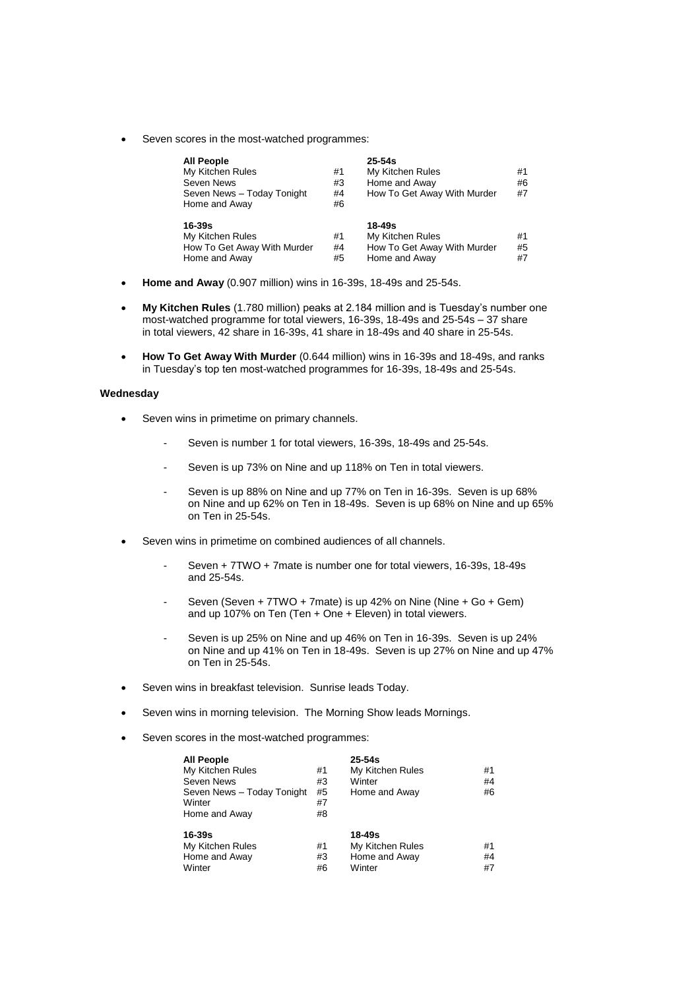Seven scores in the most-watched programmes:

| <b>All People</b><br>My Kitchen Rules<br>Seven News<br>Seven News - Today Tonight<br>Home and Away | #1<br>#3<br>#4<br>#6 | $25 - 54s$<br>My Kitchen Rules<br>Home and Away<br>How To Get Away With Murder | #1<br>#6<br>#7 |
|----------------------------------------------------------------------------------------------------|----------------------|--------------------------------------------------------------------------------|----------------|
| 16-39s<br>My Kitchen Rules<br>How To Get Away With Murder<br>Home and Away                         | #1<br>#4<br>#5       | 18-49s<br>My Kitchen Rules<br>How To Get Away With Murder<br>Home and Away     | #1<br>#5<br>#7 |

- **Home and Away** (0.907 million) wins in 16-39s, 18-49s and 25-54s.
- **My Kitchen Rules** (1.780 million) peaks at 2.184 million and is Tuesday's number one most-watched programme for total viewers, 16-39s, 18-49s and 25-54s – 37 share in total viewers, 42 share in 16-39s, 41 share in 18-49s and 40 share in 25-54s.
- **How To Get Away With Murder** (0.644 million) wins in 16-39s and 18-49s, and ranks in Tuesday's top ten most-watched programmes for 16-39s, 18-49s and 25-54s.

## **Wednesday**

- Seven wins in primetime on primary channels.
	- Seven is number 1 for total viewers, 16-39s, 18-49s and 25-54s.
	- Seven is up 73% on Nine and up 118% on Ten in total viewers.
	- Seven is up 88% on Nine and up 77% on Ten in 16-39s. Seven is up 68% on Nine and up 62% on Ten in 18-49s. Seven is up 68% on Nine and up 65% on Ten in 25-54s.
- Seven wins in primetime on combined audiences of all channels.
	- Seven + 7TWO + 7mate is number one for total viewers, 16-39s, 18-49s and 25-54s.
	- Seven (Seven + 7TWO + 7mate) is up 42% on Nine (Nine + Go + Gem) and up 107% on Ten (Ten + One + Eleven) in total viewers.
	- Seven is up 25% on Nine and up 46% on Ten in 16-39s. Seven is up 24% on Nine and up 41% on Ten in 18-49s. Seven is up 27% on Nine and up 47% on Ten in 25-54s.
- Seven wins in breakfast television. Sunrise leads Today.
- Seven wins in morning television. The Morning Show leads Mornings.
- Seven scores in the most-watched programmes:

| <b>All People</b><br>My Kitchen Rules<br>Seven News<br>Seven News - Today Tonight<br>Winter<br>Home and Away | #1<br>#3<br>#5<br>#7<br>#8 | $25 - 54s$<br>My Kitchen Rules<br>Winter<br>Home and Away | #1<br>#4<br>#6 |
|--------------------------------------------------------------------------------------------------------------|----------------------------|-----------------------------------------------------------|----------------|
| 16-39s<br>My Kitchen Rules<br>Home and Away<br>Winter                                                        | #1<br>#3<br>#6             | 18-49s<br>My Kitchen Rules<br>Home and Away<br>Winter     | #1<br>#4<br>#7 |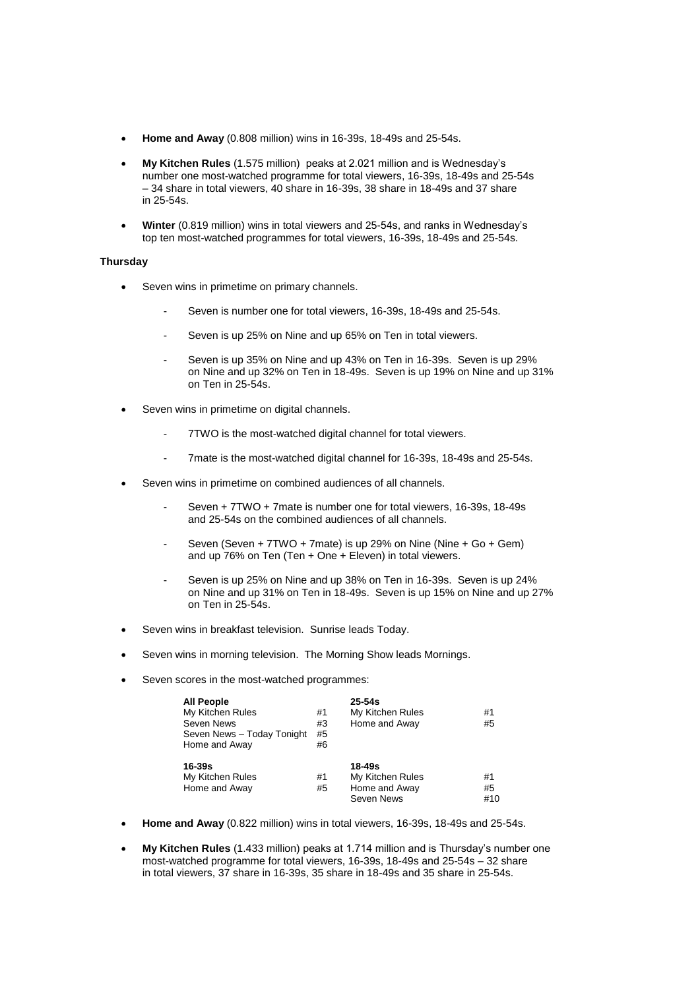- **Home and Away** (0.808 million) wins in 16-39s, 18-49s and 25-54s.
- **My Kitchen Rules** (1.575 million) peaks at 2.021 million and is Wednesday's number one most-watched programme for total viewers, 16-39s, 18-49s and 25-54s – 34 share in total viewers, 40 share in 16-39s, 38 share in 18-49s and 37 share in 25-54s.
- **Winter** (0.819 million) wins in total viewers and 25-54s, and ranks in Wednesday's top ten most-watched programmes for total viewers, 16-39s, 18-49s and 25-54s.

### **Thursday**

- Seven wins in primetime on primary channels.
	- Seven is number one for total viewers, 16-39s, 18-49s and 25-54s.
	- Seven is up 25% on Nine and up 65% on Ten in total viewers.
	- Seven is up 35% on Nine and up 43% on Ten in 16-39s. Seven is up 29% on Nine and up 32% on Ten in 18-49s. Seven is up 19% on Nine and up 31% on Ten in 25-54s.
- Seven wins in primetime on digital channels.
	- 7TWO is the most-watched digital channel for total viewers.
	- 7mate is the most-watched digital channel for 16-39s, 18-49s and 25-54s.
- Seven wins in primetime on combined audiences of all channels.
	- Seven + 7TWO + 7mate is number one for total viewers, 16-39s, 18-49s and 25-54s on the combined audiences of all channels.
	- Seven (Seven + 7TWO + 7mate) is up 29% on Nine (Nine + Go + Gem) and up 76% on Ten (Ten + One + Eleven) in total viewers.
	- Seven is up 25% on Nine and up 38% on Ten in 16-39s. Seven is up 24% on Nine and up 31% on Ten in 18-49s. Seven is up 15% on Nine and up 27% on Ten in 25-54s.
- Seven wins in breakfast television. Sunrise leads Today.
- Seven wins in morning television. The Morning Show leads Mornings.
- Seven scores in the most-watched programmes:

| <b>All People</b><br>My Kitchen Rules<br>Seven News<br>Seven News - Today Tonight<br>Home and Away | #1<br>#3<br>#5<br>#6 | $25 - 54s$<br>My Kitchen Rules<br>Home and Away           | #1<br>#5        |
|----------------------------------------------------------------------------------------------------|----------------------|-----------------------------------------------------------|-----------------|
| 16-39s<br>My Kitchen Rules<br>Home and Away                                                        | #1<br>#5             | 18-49s<br>My Kitchen Rules<br>Home and Away<br>Seven News | #1<br>#5<br>#10 |

- **Home and Away** (0.822 million) wins in total viewers, 16-39s, 18-49s and 25-54s.
- **My Kitchen Rules** (1.433 million) peaks at 1.714 million and is Thursday's number one most-watched programme for total viewers, 16-39s, 18-49s and 25-54s – 32 share in total viewers, 37 share in 16-39s, 35 share in 18-49s and 35 share in 25-54s.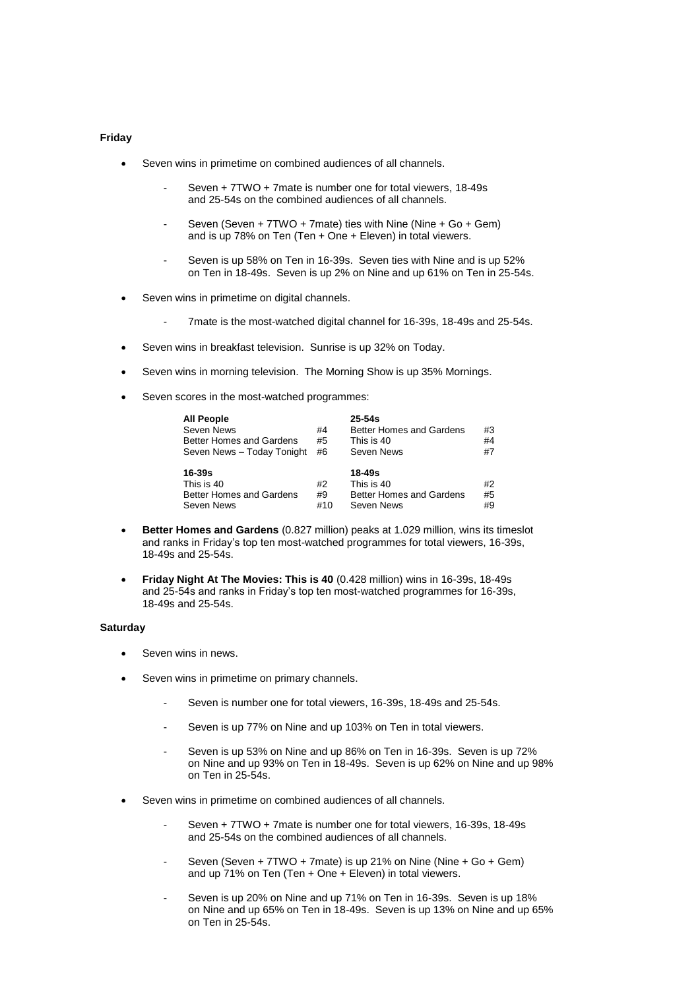### **Friday**

- Seven wins in primetime on combined audiences of all channels.
	- Seven + 7TWO + 7mate is number one for total viewers, 18-49s and 25-54s on the combined audiences of all channels.
	- Seven (Seven + 7TWO + 7mate) ties with Nine (Nine + Go + Gem) and is up 78% on Ten (Ten + One + Eleven) in total viewers.
	- Seven is up 58% on Ten in 16-39s. Seven ties with Nine and is up 52% on Ten in 18-49s. Seven is up 2% on Nine and up 61% on Ten in 25-54s.
- Seven wins in primetime on digital channels.
	- 7mate is the most-watched digital channel for 16-39s, 18-49s and 25-54s.
- Seven wins in breakfast television. Sunrise is up 32% on Today.
- Seven wins in morning television. The Morning Show is up 35% Mornings.
- Seven scores in the most-watched programmes:

| <b>All People</b>               |    | $25 - 54s$                      |    |
|---------------------------------|----|---------------------------------|----|
| Seven News                      | #4 | Better Homes and Gardens        | #3 |
| <b>Better Homes and Gardens</b> | #5 | This is 40                      | #4 |
| Seven News - Today Tonight      | #6 | Seven News                      | #7 |
| $16 - 39s$                      |    | 18-49s                          |    |
|                                 |    |                                 |    |
| This is 40                      | #2 | This is 40                      | #2 |
| Better Homes and Gardens        | #9 | <b>Better Homes and Gardens</b> | #5 |

- **Better Homes and Gardens** (0.827 million) peaks at 1.029 million, wins its timeslot and ranks in Friday's top ten most-watched programmes for total viewers, 16-39s, 18-49s and 25-54s.
- **Friday Night At The Movies: This is 40** (0.428 million) wins in 16-39s, 18-49s and 25-54s and ranks in Friday's top ten most-watched programmes for 16-39s, 18-49s and 25-54s.

## **Saturday**

- Seven wins in news.
- Seven wins in primetime on primary channels.
	- Seven is number one for total viewers, 16-39s, 18-49s and 25-54s.
	- Seven is up 77% on Nine and up 103% on Ten in total viewers.
	- Seven is up 53% on Nine and up 86% on Ten in 16-39s. Seven is up 72% on Nine and up 93% on Ten in 18-49s. Seven is up 62% on Nine and up 98% on Ten in 25-54s.
- Seven wins in primetime on combined audiences of all channels.
	- Seven + 7TWO + 7mate is number one for total viewers, 16-39s, 18-49s and 25-54s on the combined audiences of all channels.
	- Seven (Seven + 7TWO + 7mate) is up 21% on Nine (Nine + Go + Gem) and up 71% on Ten (Ten + One + Eleven) in total viewers.
	- Seven is up 20% on Nine and up 71% on Ten in 16-39s. Seven is up 18% on Nine and up 65% on Ten in 18-49s. Seven is up 13% on Nine and up 65% on Ten in 25-54s.